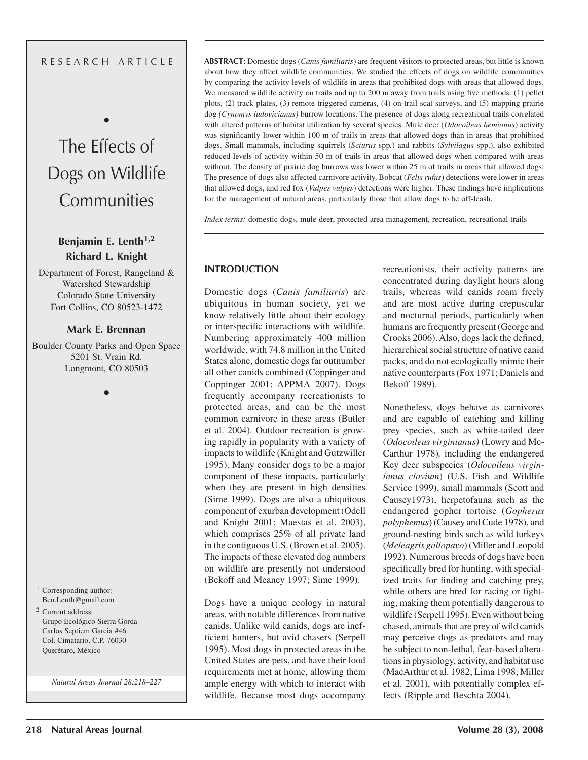#### R E S E A R C H A R T I C L E

# The Effects of Dogs on Wildlife **Communities**

•

## **Benjamin E. Lenth1,2 Richard L. Knight**

Department of Forest, Rangeland & Watershed Stewardship Colorado State University Fort Collins, CO 80523-1472

## **Mark E. Brennan**

Boulder County Parks and Open Space 5201 St. Vrain Rd. Longmont, CO 80503

•

<sup>1</sup> Corresponding author: Ben.Lenth@gmail.com 2 Current address:

Grupo Ecológico Sierra Gorda Carlos Septiem Garcia #46 Col. Cimatario, C.P. 76030 Querétaro, México

*Natural Areas Journal 28:218–227*

**ABSTRACT**: Domestic dogs (*Canis familiaris*) are frequent visitors to protected areas, but little is known about how they affect wildlife communities. We studied the effects of dogs on wildlife communities by comparing the activity levels of wildlife in areas that prohibited dogs with areas that allowed dogs. We measured wildlife activity on trails and up to 200 m away from trails using five methods: (1) pellet plots, (2) track plates, (3) remote triggered cameras, (4) on-trail scat surveys, and (5) mapping prairie dog *(Cynomys ludovicianus)* burrow locations. The presence of dogs along recreational trails correlated with altered patterns of habitat utilization by several species. Mule deer (*Odocoileus hemionus*) activity was significantly lower within 100 m of trails in areas that allowed dogs than in areas that prohibited dogs. Small mammals, including squirrels (*Sciurus* spp*.*) and rabbits (*Sylvilagus* spp.), also exhibited reduced levels of activity within 50 m of trails in areas that allowed dogs when compared with areas without. The density of prairie dog burrows was lower within 25 m of trails in areas that allowed dogs. The presence of dogs also affected carnivore activity. Bobcat (*Felis rufus*) detections were lower in areas that allowed dogs, and red fox (*Vulpes vulpes*) detections were higher. These findings have implications for the management of natural areas, particularly those that allow dogs to be off-leash.

*Index terms:* domestic dogs, mule deer, protected area management, recreation, recreational trails

#### **INTRODUCTION**

Domestic dogs (*Canis familiaris*) are ubiquitous in human society, yet we know relatively little about their ecology or interspecific interactions with wildlife. Numbering approximately 400 million worldwide, with 74.8 million in the United States alone, domestic dogs far outnumber all other canids combined (Coppinger and Coppinger 2001; APPMA 2007). Dogs frequently accompany recreationists to protected areas, and can be the most common carnivore in these areas (Butler et al. 2004). Outdoor recreation is growing rapidly in popularity with a variety of impacts to wildlife (Knight and Gutzwiller 1995). Many consider dogs to be a major component of these impacts, particularly when they are present in high densities (Sime 1999). Dogs are also a ubiquitous component of exurban development (Odell and Knight 2001; Maestas et al. 2003), which comprises 25% of all private land in the contiguous U.S. (Brown et al. 2005). The impacts of these elevated dog numbers on wildlife are presently not understood (Bekoff and Meaney 1997; Sime 1999).

Dogs have a unique ecology in natural areas, with notable differences from native canids. Unlike wild canids, dogs are inefficient hunters, but avid chasers (Serpell 1995). Most dogs in protected areas in the United States are pets, and have their food requirements met at home, allowing them ample energy with which to interact with wildlife. Because most dogs accompany

recreationists, their activity patterns are concentrated during daylight hours along trails, whereas wild canids roam freely and are most active during crepuscular and nocturnal periods, particularly when humans are frequently present (George and Crooks 2006). Also, dogs lack the defined, hierarchical social structure of native canid packs, and do not ecologically mimic their native counterparts (Fox 1971; Daniels and Bekoff 1989).

Nonetheless, dogs behave as carnivores and are capable of catching and killing prey species, such as white-tailed deer (*Odocoileus virginianus)* (Lowry and Mc-Carthur 1978)*,* including the endangered Key deer subspecies (*Odocoileus virginianus clavium*) (U.S. Fish and Wildlife Service 1999), small mammals (Scott and Causey1973), herpetofauna such as the endangered gopher tortoise (*Gopherus polyphemus*) (Causey and Cude 1978), and ground-nesting birds such as wild turkeys (*Meleagris gallopavo*) (Miller and Leopold 1992). Numerous breeds of dogs have been specifically bred for hunting, with specialized traits for finding and catching prey, while others are bred for racing or fighting, making them potentially dangerous to wildlife (Serpell 1995). Even without being chased, animals that are prey of wild canids may perceive dogs as predators and may be subject to non-lethal, fear-based alterations in physiology, activity, and habitat use (MacArthur et al. 1982; Lima 1998; Miller et al. 2001), with potentially complex effects (Ripple and Beschta 2004).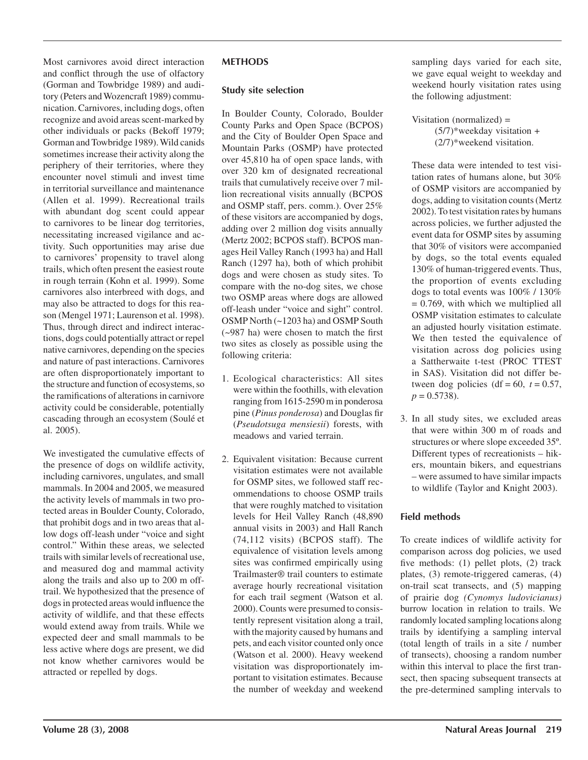Most carnivores avoid direct interaction and conflict through the use of olfactory (Gorman and Towbridge 1989) and auditory (Peters and Wozencraft 1989) communication. Carnivores, including dogs, often recognize and avoid areas scent-marked by other individuals or packs (Bekoff 1979; Gorman and Towbridge 1989). Wild canids sometimes increase their activity along the periphery of their territories, where they encounter novel stimuli and invest time in territorial surveillance and maintenance (Allen et al. 1999). Recreational trails with abundant dog scent could appear to carnivores to be linear dog territories, necessitating increased vigilance and activity. Such opportunities may arise due to carnivores' propensity to travel along trails, which often present the easiest route in rough terrain (Kohn et al. 1999). Some carnivores also interbreed with dogs, and may also be attracted to dogs for this reason (Mengel 1971; Laurenson et al. 1998). Thus, through direct and indirect interactions, dogs could potentially attract or repel native carnivores, depending on the species and nature of past interactions. Carnivores are often disproportionately important to the structure and function of ecosystems, so the ramifications of alterations in carnivore activity could be considerable, potentially cascading through an ecosystem (Soulé et al. 2005).

We investigated the cumulative effects of the presence of dogs on wildlife activity, including carnivores, ungulates, and small mammals. In 2004 and 2005, we measured the activity levels of mammals in two protected areas in Boulder County, Colorado, that prohibit dogs and in two areas that allow dogs off-leash under "voice and sight control." Within these areas, we selected trails with similar levels of recreational use, and measured dog and mammal activity along the trails and also up to 200 m offtrail. We hypothesized that the presence of dogs in protected areas would influence the activity of wildlife, and that these effects would extend away from trails. While we expected deer and small mammals to be less active where dogs are present, we did not know whether carnivores would be attracted or repelled by dogs.

### **METHODS**

### **Study site selection**

In Boulder County, Colorado, Boulder County Parks and Open Space (BCPOS) and the City of Boulder Open Space and Mountain Parks (OSMP) have protected over 45,810 ha of open space lands, with over 320 km of designated recreational trails that cumulatively receive over 7 million recreational visits annually (BCPOS and OSMP staff, pers. comm.). Over 25% of these visitors are accompanied by dogs, adding over 2 million dog visits annually (Mertz 2002; BCPOS staff). BCPOS manages Heil Valley Ranch (1993 ha) and Hall Ranch (1297 ha), both of which prohibit dogs and were chosen as study sites. To compare with the no-dog sites, we chose two OSMP areas where dogs are allowed off-leash under "voice and sight" control. OSMP North (~1203 ha) and OSMP South (~987 ha) were chosen to match the first two sites as closely as possible using the following criteria:

- 1. Ecological characteristics: All sites were within the foothills, with elevation ranging from 1615-2590 m in ponderosa pine (*Pinus ponderosa*) and Douglas fir (*Pseudotsuga mensiesii*) forests, with meadows and varied terrain.
- 2. Equivalent visitation: Because current visitation estimates were not available for OSMP sites, we followed staff recommendations to choose OSMP trails that were roughly matched to visitation levels for Heil Valley Ranch (48,890 annual visits in 2003) and Hall Ranch (74,112 visits) (BCPOS staff). The equivalence of visitation levels among sites was confirmed empirically using Trailmaster® trail counters to estimate average hourly recreational visitation for each trail segment (Watson et al. 2000). Counts were presumed to consistently represent visitation along a trail, with the majority caused by humans and pets, and each visitor counted only once (Watson et al. 2000). Heavy weekend visitation was disproportionately important to visitation estimates. Because the number of weekday and weekend

sampling days varied for each site, we gave equal weight to weekday and weekend hourly visitation rates using the following adjustment:

 Visitation (normalized) =  $(5/7)$ \*weekday visitation + (2/7)\*weekend visitation.

 These data were intended to test visitation rates of humans alone, but 30% of OSMP visitors are accompanied by dogs, adding to visitation counts (Mertz 2002). To test visitation rates by humans across policies, we further adjusted the event data for OSMP sites by assuming that 30% of visitors were accompanied by dogs, so the total events equaled 130% of human-triggered events. Thus, the proportion of events excluding dogs to total events was 100% / 130%  $= 0.769$ , with which we multiplied all OSMP visitation estimates to calculate an adjusted hourly visitation estimate. We then tested the equivalence of visitation across dog policies using a Sattherwaite t-test (PROC TTEST in SAS). Visitation did not differ between dog policies (df =  $60$ ,  $t = 0.57$ ,  $p = 0.5738$ .

3. In all study sites, we excluded areas that were within 300 m of roads and structures or where slope exceeded 35º. Different types of recreationists – hikers, mountain bikers, and equestrians – were assumed to have similar impacts to wildlife (Taylor and Knight 2003).

## **Field methods**

To create indices of wildlife activity for comparison across dog policies, we used five methods: (1) pellet plots, (2) track plates, (3) remote-triggered cameras, (4) on-trail scat transects, and (5) mapping of prairie dog *(Cynomys ludovicianus)* burrow location in relation to trails. We randomly located sampling locations along trails by identifying a sampling interval (total length of trails in a site / number of transects), choosing a random number within this interval to place the first transect, then spacing subsequent transects at the pre-determined sampling intervals to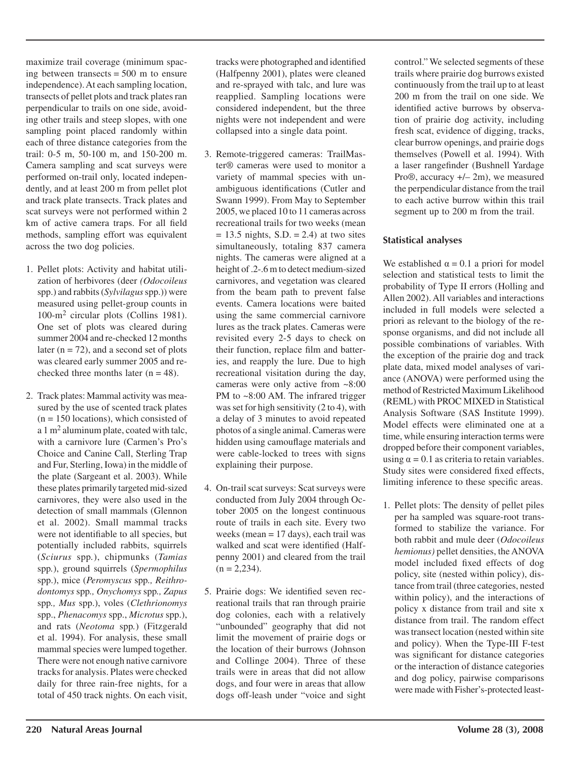maximize trail coverage (minimum spacing between transects  $= 500$  m to ensure independence). At each sampling location, transects of pellet plots and track plates ran perpendicular to trails on one side, avoiding other trails and steep slopes, with one sampling point placed randomly within each of three distance categories from the trail: 0-5 m, 50-100 m, and 150-200 m. Camera sampling and scat surveys were performed on-trail only, located independently, and at least 200 m from pellet plot and track plate transects. Track plates and scat surveys were not performed within 2 km of active camera traps. For all field methods, sampling effort was equivalent across the two dog policies.

- 1. Pellet plots: Activity and habitat utilization of herbivores (deer *(Odocoileus*  spp.) and rabbits (*Sylvilagus* spp.)) were measured using pellet-group counts in 100-m2 circular plots (Collins 1981). One set of plots was cleared during summer 2004 and re-checked 12 months later ( $n = 72$ ), and a second set of plots was cleared early summer 2005 and rechecked three months later  $(n = 48)$ .
- 2. Track plates: Mammal activity was measured by the use of scented track plates  $(n = 150$  locations), which consisted of a 1  $m<sup>2</sup>$  aluminum plate, coated with tale, with a carnivore lure (Carmen's Pro's Choice and Canine Call, Sterling Trap and Fur, Sterling, Iowa) in the middle of the plate (Sargeant et al. 2003). While these plates primarily targeted mid-sized carnivores, they were also used in the detection of small mammals (Glennon et al. 2002). Small mammal tracks were not identifiable to all species, but potentially included rabbits, squirrels (*Sciurus* spp*.*), chipmunks (*Tamias*  spp*.*), ground squirrels (*Spermophilus*  spp.), mice (*Peromyscus* spp*., Reithrodontomys* spp*., Onychomys* spp*., Zapus*  spp*., Mus* spp.), voles (*Clethrionomys*  spp., *Phenacomys* spp., *Microtus* spp.), and rats (*Neotoma* spp*.*) (Fitzgerald et al. 1994). For analysis, these small mammal species were lumped together. There were not enough native carnivore tracks for analysis. Plates were checked daily for three rain-free nights, for a total of 450 track nights. On each visit,

tracks were photographed and identified (Halfpenny 2001), plates were cleaned and re-sprayed with talc, and lure was reapplied. Sampling locations were considered independent, but the three nights were not independent and were collapsed into a single data point.

- 3. Remote-triggered cameras: TrailMaster® cameras were used to monitor a variety of mammal species with unambiguous identifications (Cutler and Swann 1999). From May to September 2005, we placed 10 to 11 cameras across recreational trails for two weeks (mean  $= 13.5$  nights, S.D.  $= 2.4$ ) at two sites simultaneously, totaling 837 camera nights. The cameras were aligned at a height of .2-.6 m to detect medium-sized carnivores, and vegetation was cleared from the beam path to prevent false events. Camera locations were baited using the same commercial carnivore lures as the track plates. Cameras were revisited every 2-5 days to check on their function, replace film and batteries, and reapply the lure. Due to high recreational visitation during the day, cameras were only active from ~8:00 PM to ~8:00 AM. The infrared trigger was set for high sensitivity (2 to 4), with a delay of 3 minutes to avoid repeated photos of a single animal. Cameras were hidden using camouflage materials and were cable-locked to trees with signs explaining their purpose.
- 4. On-trail scat surveys: Scat surveys were conducted from July 2004 through October 2005 on the longest continuous route of trails in each site. Every two weeks (mean = 17 days), each trail was walked and scat were identified (Halfpenny 2001) and cleared from the trail  $(n = 2,234)$ .
- 5. Prairie dogs: We identified seven recreational trails that ran through prairie dog colonies, each with a relatively "unbounded" geography that did not limit the movement of prairie dogs or the location of their burrows (Johnson and Collinge 2004). Three of these trails were in areas that did not allow dogs, and four were in areas that allow dogs off-leash under "voice and sight

control." We selected segments of these trails where prairie dog burrows existed continuously from the trail up to at least 200 m from the trail on one side. We identified active burrows by observation of prairie dog activity, including fresh scat, evidence of digging, tracks, clear burrow openings, and prairie dogs themselves (Powell et al. 1994). With a laser rangefinder (Bushnell Yardage Pro®, accuracy +/– 2m), we measured the perpendicular distance from the trail to each active burrow within this trail segment up to 200 m from the trail.

## **Statistical analyses**

We established  $\alpha = 0.1$  a priori for model selection and statistical tests to limit the probability of Type II errors (Holling and Allen 2002). All variables and interactions included in full models were selected a priori as relevant to the biology of the response organisms, and did not include all possible combinations of variables. With the exception of the prairie dog and track plate data, mixed model analyses of variance (ANOVA) were performed using the method of Restricted Maximum Likelihood (REML) with PROC MIXED in Statistical Analysis Software (SAS Institute 1999). Model effects were eliminated one at a time, while ensuring interaction terms were dropped before their component variables, using  $\alpha = 0.1$  as criteria to retain variables. Study sites were considered fixed effects, limiting inference to these specific areas.

1. Pellet plots: The density of pellet piles per ha sampled was square-root transformed to stabilize the variance. For both rabbit and mule deer (*Odocoileus hemionus)* pellet densities, the ANOVA model included fixed effects of dog policy, site (nested within policy), distance from trail (three categories, nested within policy), and the interactions of policy x distance from trail and site x distance from trail. The random effect was transect location (nested within site and policy). When the Type-III F-test was significant for distance categories or the interaction of distance categories and dog policy, pairwise comparisons were made with Fisher's-protected least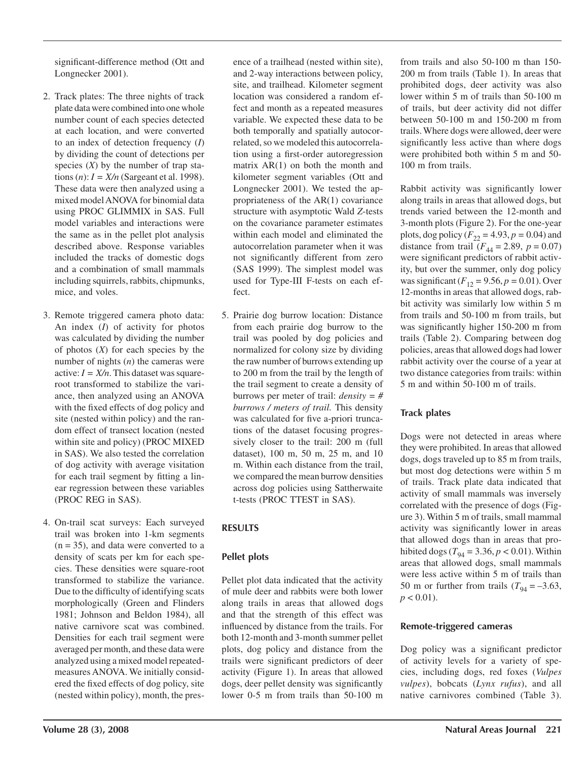significant-difference method (Ott and Longnecker 2001).

- 2. Track plates: The three nights of track plate data were combined into one whole number count of each species detected at each location, and were converted to an index of detection frequency (*I*) by dividing the count of detections per species  $(X)$  by the number of trap stations  $(n)$ :  $I = X/n$  (Sargeant et al. 1998). These data were then analyzed using a mixed model ANOVA for binomial data using PROC GLIMMIX in SAS. Full model variables and interactions were the same as in the pellet plot analysis described above. Response variables included the tracks of domestic dogs and a combination of small mammals including squirrels, rabbits, chipmunks, mice, and voles.
- 3. Remote triggered camera photo data: An index (*I*) of activity for photos was calculated by dividing the number of photos (*X*) for each species by the number of nights (*n*) the cameras were active:  $I = X/n$ . This dataset was squareroot transformed to stabilize the variance, then analyzed using an ANOVA with the fixed effects of dog policy and site (nested within policy) and the random effect of transect location (nested within site and policy) (PROC MIXED in SAS). We also tested the correlation of dog activity with average visitation for each trail segment by fitting a linear regression between these variables (PROC REG in SAS).
- 4. On-trail scat surveys: Each surveyed trail was broken into 1-km segments  $(n = 35)$ , and data were converted to a density of scats per km for each species. These densities were square-root transformed to stabilize the variance. Due to the difficulty of identifying scats morphologically (Green and Flinders 1981; Johnson and Beldon 1984), all native carnivore scat was combined. Densities for each trail segment were averaged per month, and these data were analyzed using a mixed model repeatedmeasures ANOVA. We initially considered the fixed effects of dog policy, site (nested within policy), month, the pres-

ence of a trailhead (nested within site), and 2-way interactions between policy, site, and trailhead. Kilometer segment location was considered a random effect and month as a repeated measures variable. We expected these data to be both temporally and spatially autocorrelated, so we modeled this autocorrelation using a first-order autoregression matrix AR(1) on both the month and kilometer segment variables (Ott and Longnecker 2001). We tested the appropriateness of the AR(1) covariance structure with asymptotic Wald *Z*-tests on the covariance parameter estimates within each model and eliminated the autocorrelation parameter when it was not significantly different from zero (SAS 1999). The simplest model was used for Type-III F-tests on each effect.

5. Prairie dog burrow location: Distance from each prairie dog burrow to the trail was pooled by dog policies and normalized for colony size by dividing the raw number of burrows extending up to 200 m from the trail by the length of the trail segment to create a density of burrows per meter of trail: *density = # burrows / meters of trail.* This density was calculated for five a-priori truncations of the dataset focusing progressively closer to the trail: 200 m (full dataset), 100 m, 50 m, 25 m, and 10 m. Within each distance from the trail, we compared the mean burrow densities across dog policies using Sattherwaite t-tests (PROC TTEST in SAS).

## **RESULTS**

## **Pellet plots**

Pellet plot data indicated that the activity of mule deer and rabbits were both lower along trails in areas that allowed dogs and that the strength of this effect was influenced by distance from the trails. For both 12-month and 3-month summer pellet plots, dog policy and distance from the trails were significant predictors of deer activity (Figure 1). In areas that allowed dogs, deer pellet density was significantly lower 0-5 m from trails than 50-100 m from trails and also 50-100 m than 150- 200 m from trails (Table 1). In areas that prohibited dogs, deer activity was also lower within 5 m of trails than 50-100 m of trails, but deer activity did not differ between 50-100 m and 150-200 m from trails. Where dogs were allowed, deer were significantly less active than where dogs were prohibited both within 5 m and 50- 100 m from trails.

Rabbit activity was significantly lower along trails in areas that allowed dogs, but trends varied between the 12-month and 3-month plots (Figure 2). For the one-year plots, dog policy  $(F_{22} = 4.93, p = 0.04)$  and distance from trail  $(F_{44} = 2.89, p = 0.07)$ were significant predictors of rabbit activity, but over the summer, only dog policy was significant  $(F_{12} = 9.56, p = 0.01)$ . Over 12-months in areas that allowed dogs, rabbit activity was similarly low within 5 m from trails and 50-100 m from trails, but was significantly higher 150-200 m from trails (Table 2). Comparing between dog policies, areas that allowed dogs had lower rabbit activity over the course of a year at two distance categories from trails: within 5 m and within 50-100 m of trails.

## **Track plates**

Dogs were not detected in areas where they were prohibited. In areas that allowed dogs, dogs traveled up to 85 m from trails, but most dog detections were within 5 m of trails. Track plate data indicated that activity of small mammals was inversely correlated with the presence of dogs (Figure 3). Within 5 m of trails, small mammal activity was significantly lower in areas that allowed dogs than in areas that prohibited dogs ( $T_{94} = 3.36, p < 0.01$ ). Within areas that allowed dogs, small mammals were less active within 5 m of trails than 50 m or further from trails  $(T_{04} = -3.63)$ ,  $p < 0.01$ ).

## **Remote-triggered cameras**

Dog policy was a significant predictor of activity levels for a variety of species, including dogs, red foxes (*Vulpes vulpes*), bobcats (*Lynx rufus*), and all native carnivores combined (Table 3).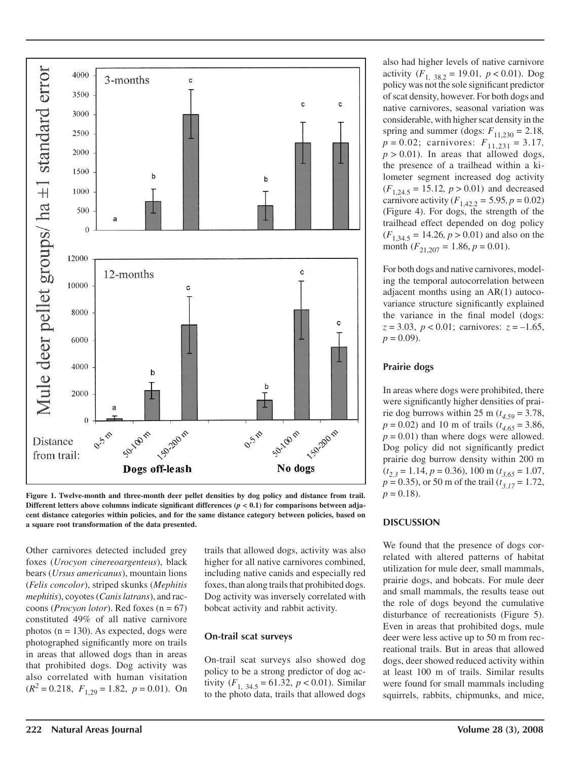

**Figure 1. Twelve-month and three-month deer pellet densities by dog policy and distance from trail. Different letters above columns indicate significant differences**  $(p < 0.1)$  **for comparisons between adjacent distance categories within policies, and for the same distance category between policies, based on a square root transformation of the data presented.**

Other carnivores detected included grey foxes (*Urocyon cinereoargenteus*), black bears (*Ursus americanus*), mountain lions (*Felis concolor*), striped skunks (*Mephitis mephitis*), coyotes (*Canis latrans*), and raccoons (*Procyon lotor*). Red foxes (n = 67) constituted 49% of all native carnivore photos ( $n = 130$ ). As expected, dogs were photographed significantly more on trails in areas that allowed dogs than in areas that prohibited dogs. Dog activity was also correlated with human visitation  $(R^2 = 0.218, F_{1,29} = 1.82, p = 0.01)$ . On trails that allowed dogs, activity was also higher for all native carnivores combined, including native canids and especially red foxes, than along trails that prohibited dogs. Dog activity was inversely correlated with bobcat activity and rabbit activity.

#### **On-trail scat surveys**

On-trail scat surveys also showed dog policy to be a strong predictor of dog activity  $(F_{1, 34.5} = 61.32, p < 0.01)$ . Similar to the photo data, trails that allowed dogs

also had higher levels of native carnivore activity  $(F_{1, 38.2} = 19.01, p < 0.01)$ . Dog policy was not the sole significant predictor of scat density, however. For both dogs and native carnivores, seasonal variation was considerable, with higher scat density in the spring and summer (dogs:  $F_{11,230} = 2.18$ *, p* = 0.02; carnivores: *F*11,231 *=* 3.17*,*  $p > 0.01$ ). In areas that allowed dogs, the presence of a trailhead within a kilometer segment increased dog activity  $(F_{1,24.5} = 15.12, p > 0.01)$  and decreased carnivore activity  $(F_{1,42,2} = 5.95, p = 0.02)$ (Figure 4). For dogs, the strength of the trailhead effect depended on dog policy  $(F_{1,34.5} = 14.26, p > 0.01)$  and also on the month  $(F_{21,207} = 1.86, p = 0.01)$ .

For both dogs and native carnivores, modeling the temporal autocorrelation between adjacent months using an AR(1) autocovariance structure significantly explained the variance in the final model (dogs:  $z = 3.03$ ,  $p < 0.01$ ; carnivores:  $z = -1.65$ ,  $p = 0.09$ .

#### **Prairie dogs**

In areas where dogs were prohibited, there were significantly higher densities of prairie dog burrows within 25 m ( $t_{4.59}$  = 3.78, *p* = 0.02) and 10 m of trails (*t 4.65* = 3.86,  $p = 0.01$ ) than where dogs were allowed. Dog policy did not significantly predict prairie dog burrow density within 200 m  $(t_{2,3} = 1.14, p = 0.36), 100 \text{ m}$   $(t_{3,65} = 1.07,$ *p* = 0.35), or 50 m of the trail (*t 3.17* = 1.72,  $p = 0.18$ .

#### **DISCUSSION**

We found that the presence of dogs correlated with altered patterns of habitat utilization for mule deer, small mammals, prairie dogs, and bobcats. For mule deer and small mammals, the results tease out the role of dogs beyond the cumulative disturbance of recreationists (Figure 5). Even in areas that prohibited dogs, mule deer were less active up to 50 m from recreational trails. But in areas that allowed dogs, deer showed reduced activity within at least 100 m of trails. Similar results were found for small mammals including squirrels, rabbits, chipmunks, and mice,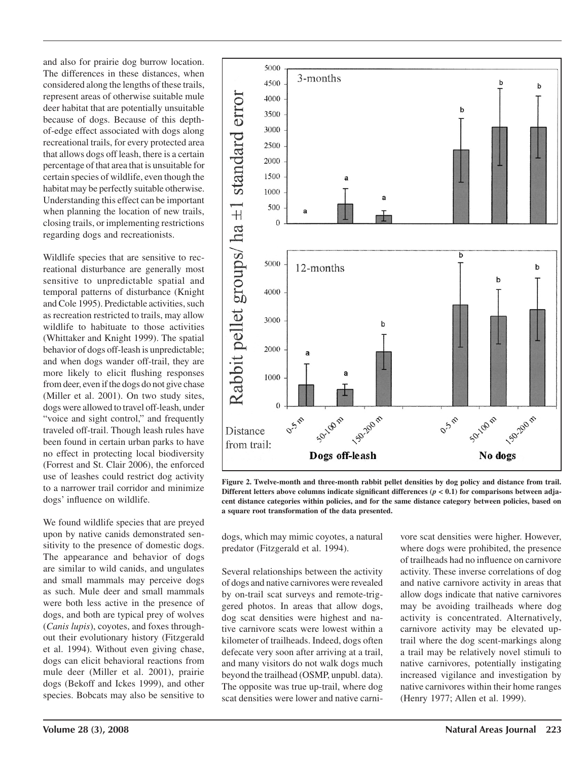and also for prairie dog burrow location. The differences in these distances, when considered along the lengths of these trails, represent areas of otherwise suitable mule deer habitat that are potentially unsuitable because of dogs. Because of this depthof-edge effect associated with dogs along recreational trails, for every protected area that allows dogs off leash, there is a certain percentage of that area that is unsuitable for certain species of wildlife, even though the habitat may be perfectly suitable otherwise. Understanding this effect can be important when planning the location of new trails, closing trails, or implementing restrictions regarding dogs and recreationists.

Wildlife species that are sensitive to recreational disturbance are generally most sensitive to unpredictable spatial and temporal patterns of disturbance (Knight and Cole 1995). Predictable activities, such as recreation restricted to trails, may allow wildlife to habituate to those activities (Whittaker and Knight 1999). The spatial behavior of dogs off-leash is unpredictable; and when dogs wander off-trail, they are more likely to elicit flushing responses from deer, even if the dogs do not give chase (Miller et al. 2001). On two study sites, dogs were allowed to travel off-leash, under "voice and sight control," and frequently traveled off-trail. Though leash rules have been found in certain urban parks to have no effect in protecting local biodiversity (Forrest and St. Clair 2006), the enforced use of leashes could restrict dog activity to a narrower trail corridor and minimize dogs' influence on wildlife.

We found wildlife species that are preyed upon by native canids demonstrated sensitivity to the presence of domestic dogs. The appearance and behavior of dogs are similar to wild canids, and ungulates and small mammals may perceive dogs as such. Mule deer and small mammals were both less active in the presence of dogs, and both are typical prey of wolves (*Canis lupis*), coyotes, and foxes throughout their evolutionary history (Fitzgerald et al. 1994). Without even giving chase, dogs can elicit behavioral reactions from mule deer (Miller et al. 2001), prairie dogs (Bekoff and Ickes 1999), and other species. Bobcats may also be sensitive to



**Figure 2. Twelve-month and three-month rabbit pellet densities by dog policy and distance from trail.**  Different letters above columns indicate significant differences  $(p < 0.1)$  for comparisons between adja**cent distance categories within policies, and for the same distance category between policies, based on a square root transformation of the data presented.**

dogs, which may mimic coyotes, a natural predator (Fitzgerald et al. 1994).

Several relationships between the activity of dogs and native carnivores were revealed by on-trail scat surveys and remote-triggered photos. In areas that allow dogs, dog scat densities were highest and native carnivore scats were lowest within a kilometer of trailheads. Indeed, dogs often defecate very soon after arriving at a trail, and many visitors do not walk dogs much beyond the trailhead (OSMP, unpubl. data). The opposite was true up-trail, where dog scat densities were lower and native carnivore scat densities were higher. However, where dogs were prohibited, the presence of trailheads had no influence on carnivore activity. These inverse correlations of dog and native carnivore activity in areas that allow dogs indicate that native carnivores may be avoiding trailheads where dog activity is concentrated. Alternatively, carnivore activity may be elevated uptrail where the dog scent-markings along a trail may be relatively novel stimuli to native carnivores, potentially instigating increased vigilance and investigation by native carnivores within their home ranges (Henry 1977; Allen et al. 1999).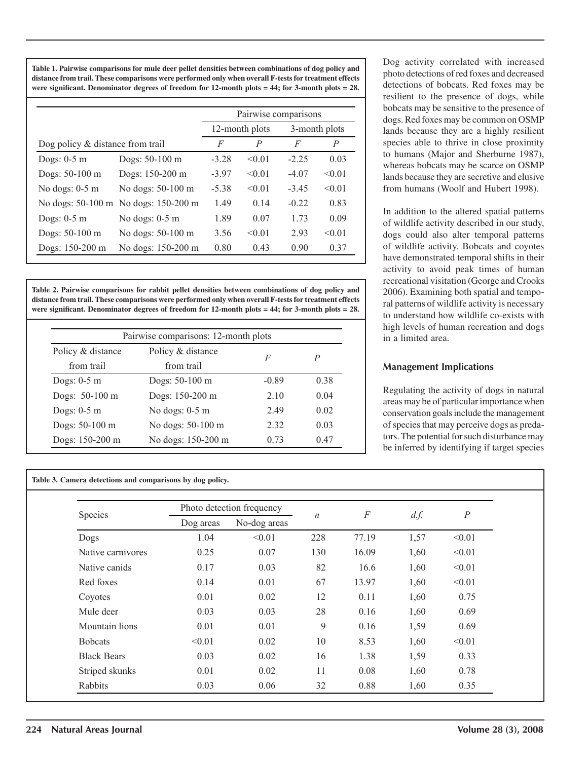**Table 1. Pairwise comparisons for mule deer pellet densities between combinations of dog policy and distance from trail. These comparisons were performed only when overall F-tests for treatment effects were significant. Denominator degrees of freedom for 12-month plots = 44; for 3-month plots = 28.**

|                                  |                                      | Pairwise comparisons |                 |               |        |  |
|----------------------------------|--------------------------------------|----------------------|-----------------|---------------|--------|--|
|                                  |                                      | 12-month plots       |                 | 3-month plots |        |  |
| Dog policy & distance from trail |                                      | F                    | P               | F             | P      |  |
| Dogs: $0-5$ m                    | Dogs: 50-100 m                       | $-3.28$              | < 0.01          | $-2.25$       | 0.03   |  |
| Dogs: 50-100 m                   | Dogs: 150-200 m                      | $-3.97$              | < 0.01          | $-4.07$       | < 0.01 |  |
| No dogs: $0-5$ m                 | No dogs: 50-100 m                    | $-5.38$              | < 0.01          | $-3.45$       | < 0.01 |  |
|                                  | No dogs: 50-100 m No dogs: 150-200 m | 1.49                 | 0 <sub>14</sub> | $-0.22$       | 0.83   |  |
| Dogs: $0-5$ m                    | No dogs: $0-5$ m                     | 1.89                 | 0.07            | 1 73          | 0.09   |  |
| Dogs: 50-100 m                   | No dogs: 50-100 m                    | 3.56                 | < 0.01          | 293           | < 0.01 |  |
| Dogs: 150-200 m                  | No dogs: 150-200 m                   | 0.80                 | 0.43            | 0.90          | 0.37   |  |

**Table 2. Pairwise comparisons for rabbit pellet densities between combinations of dog policy and distance from trail. These comparisons were performed only when overall F-tests for treatment effects were significant. Denominator degrees of freedom for 12-month plots = 44; for 3-month plots = 28.**

|                   | Pairwise comparisons: 12-month plots |         |      |
|-------------------|--------------------------------------|---------|------|
| Policy & distance | Policy & distance                    | F       | P    |
| from trail        | from trail                           |         |      |
| Dogs: $0-5$ m     | Dogs: 50-100 m                       | $-0.89$ | 0.38 |
| Dogs: 50-100 m    | Dogs: 150-200 m                      | 2.10    | 0.04 |
| Dogs: $0-5$ m     | No dogs: $0-5$ m                     | 2.49    | 0.02 |
| Dogs: 50-100 m    | No dogs: 50-100 m                    | 2.32    | 0.03 |
| Dogs: 150-200 m   | No dogs: 150-200 m                   | 0.73    | 0.47 |

**Table 3. Camera detections and comparisons by dog policy.**

Dog activity correlated with increased photo detections of red foxes and decreased detections of bobcats. Red foxes may be resilient to the presence of dogs, while bobcats may be sensitive to the presence of dogs. Red foxes may be common on OSMP lands because they are a highly resilient species able to thrive in close proximity to humans (Major and Sherburne 1987), whereas bobcats may be scarce on OSMP lands because they are secretive and elusive from humans (Woolf and Hubert 1998).

In addition to the altered spatial patterns of wildlife activity described in our study, dogs could also alter temporal patterns of wildlife activity. Bobcats and coyotes have demonstrated temporal shifts in their activity to avoid peak times of human recreational visitation (George and Crooks 2006). Examining both spatial and temporal patterns of wildlife activity is necessary to understand how wildlife co-exists with high levels of human recreation and dogs in a limited area.

#### **Management Implications**

Regulating the activity of dogs in natural areas may be of particular importance when conservation goals include the management of species that may perceive dogs as predators. The potential for such disturbance may be inferred by identifying if target species

| Species            |           | Photo detection frequency |                  | $\cal F$ |      |                  |
|--------------------|-----------|---------------------------|------------------|----------|------|------------------|
|                    | Dog areas | No-dog areas              | $\boldsymbol{n}$ |          | d.f. | $\boldsymbol{P}$ |
| Dogs               | 1.04      | < 0.01                    | 228              | 77.19    | 1,57 | < 0.01           |
| Native carnivores  | 0.25      | 0.07                      | 130              | 16.09    | 1,60 | < 0.01           |
| Native canids      | 0.17      | 0.03                      | 82               | 16.6     | 1,60 | < 0.01           |
| Red foxes          | 0.14      | 0.01                      | 67               | 13.97    | 1,60 | < 0.01           |
| Coyotes            | 0.01      | 0.02                      | 12               | 0.11     | 1,60 | 0.75             |
| Mule deer          | 0.03      | 0.03                      | 28               | 0.16     | 1,60 | 0.69             |
| Mountain lions     | 0.01      | 0.01                      | 9                | 0.16     | 1,59 | 0.69             |
| <b>Bobcats</b>     | < 0.01    | 0.02                      | 10               | 8.53     | 1,60 | < 0.01           |
| <b>Black Bears</b> | 0.03      | 0.02                      | 16               | 1.38     | 1,59 | 0.33             |
| Striped skunks     | 0.01      | 0.02                      | 11               | 0.08     | 1,60 | 0.78             |
| Rabbits            | 0.03      | 0.06                      | 32               | 0.88     | 1,60 | 0.35             |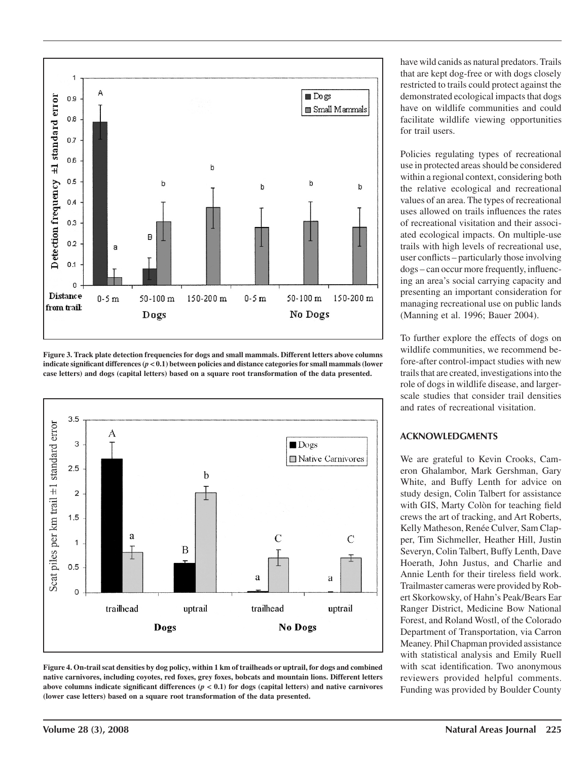

**Figure 3. Track plate detection frequencies for dogs and small mammals. Different letters above columns indicate significant differences (***p* **< 0.1) between policies and distance categories for small mammals (lower case letters) and dogs (capital letters) based on a square root transformation of the data presented.**





have wild canids as natural predators. Trails that are kept dog-free or with dogs closely restricted to trails could protect against the demonstrated ecological impacts that dogs have on wildlife communities and could facilitate wildlife viewing opportunities for trail users.

Policies regulating types of recreational use in protected areas should be considered within a regional context, considering both the relative ecological and recreational values of an area. The types of recreational uses allowed on trails influences the rates of recreational visitation and their associated ecological impacts. On multiple-use trails with high levels of recreational use, user conflicts – particularly those involving dogs – can occur more frequently, influencing an area's social carrying capacity and presenting an important consideration for managing recreational use on public lands (Manning et al. 1996; Bauer 2004).

To further explore the effects of dogs on wildlife communities, we recommend before-after control-impact studies with new trails that are created, investigations into the role of dogs in wildlife disease, and largerscale studies that consider trail densities and rates of recreational visitation.

#### **ACKNOWLEDGMENTS**

We are grateful to Kevin Crooks, Cameron Ghalambor, Mark Gershman, Gary White, and Buffy Lenth for advice on study design, Colin Talbert for assistance with GIS, Marty Colòn for teaching field crews the art of tracking, and Art Roberts, Kelly Matheson, Renée Culver, Sam Clapper, Tim Sichmeller, Heather Hill, Justin Severyn, Colin Talbert, Buffy Lenth, Dave Hoerath, John Justus, and Charlie and Annie Lenth for their tireless field work. Trailmaster cameras were provided by Robert Skorkowsky, of Hahn's Peak/Bears Ear Ranger District, Medicine Bow National Forest, and Roland Wostl, of the Colorado Department of Transportation, via Carron Meaney. Phil Chapman provided assistance with statistical analysis and Emily Ruell with scat identification. Two anonymous reviewers provided helpful comments. Funding was provided by Boulder County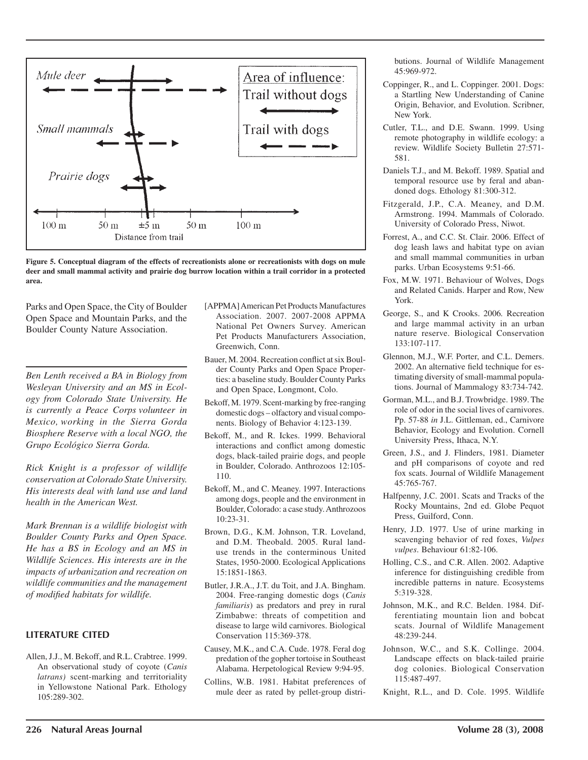



Parks and Open Space, the City of Boulder Open Space and Mountain Parks, and the Boulder County Nature Association.

*Ben Lenth received a BA in Biology from Wesleyan University and an MS in Ecology from Colorado State University. He is currently a Peace Corps volunteer in Mexico, working in the Sierra Gorda Biosphere Reserve with a local NGO, the Grupo Ecológico Sierra Gorda.*

*Rick Knight is a professor of wildlife conservation at Colorado State University. His interests deal with land use and land health in the American West.*

*Mark Brennan is a wildlife biologist with Boulder County Parks and Open Space. He has a BS in Ecology and an MS in Wildlife Sciences. His interests are in the impacts of urbanization and recreation on wildlife communities and the management of modified habitats for wildlife.*

#### **LITERATURE CITED**

Allen, J.J., M. Bekoff, and R.L. Crabtree. 1999. An observational study of coyote (*Canis latrans)* scent-marking and territoriality in Yellowstone National Park. Ethology 105:289-302.

- [APPMA] American Pet Products Manufactures Association. 2007. 2007-2008 APPMA National Pet Owners Survey. American Pet Products Manufacturers Association, Greenwich, Conn.
- Bauer, M. 2004. Recreation conflict at six Boulder County Parks and Open Space Properties: a baseline study. Boulder County Parks and Open Space, Longmont, Colo.
- Bekoff, M. 1979. Scent-marking by free-ranging domestic dogs – olfactory and visual components. Biology of Behavior 4:123-139.
- Bekoff, M., and R. Ickes. 1999. Behavioral interactions and conflict among domestic dogs, black-tailed prairie dogs, and people in Boulder, Colorado. Anthrozoos 12:105- 110.
- Bekoff, M., and C. Meaney. 1997. Interactions among dogs, people and the environment in Boulder, Colorado: a case study. Anthrozoos 10:23-31.
- Brown, D.G., K.M. Johnson, T.R. Loveland, and D.M. Theobald. 2005. Rural landuse trends in the conterminous United States, 1950-2000. Ecological Applications 15:1851-1863.
- Butler, J.R.A., J.T. du Toit, and J.A. Bingham. 2004. Free-ranging domestic dogs (*Canis familiaris*) as predators and prey in rural Zimbabwe: threats of competition and disease to large wild carnivores. Biological Conservation 115:369-378.
- Causey, M.K., and C.A. Cude. 1978. Feral dog predation of the gopher tortoise in Southeast Alabama. Herpetological Review 9:94-95.
- Collins, W.B. 1981. Habitat preferences of mule deer as rated by pellet-group distri-

butions. Journal of Wildlife Management 45:969-972.

- Coppinger, R., and L. Coppinger. 2001. Dogs: a Startling New Understanding of Canine Origin, Behavior, and Evolution. Scribner, New York.
- Cutler, T.L., and D.E. Swann. 1999. Using remote photography in wildlife ecology: a review. Wildlife Society Bulletin 27:571- 581.
- Daniels T.J., and M. Bekoff. 1989. Spatial and temporal resource use by feral and abandoned dogs. Ethology 81:300-312.
- Fitzgerald, J.P., C.A. Meaney, and D.M. Armstrong. 1994. Mammals of Colorado. University of Colorado Press, Niwot.
- Forrest, A., and C.C. St. Clair. 2006. Effect of dog leash laws and habitat type on avian and small mammal communities in urban parks. Urban Ecosystems 9:51-66.
- Fox, M.W. 1971. Behaviour of Wolves, Dogs and Related Canids. Harper and Row, New York.
- George, S., and K Crooks. 2006*.* Recreation and large mammal activity in an urban nature reserve. Biological Conservation 133:107-117.
- Glennon, M.J., W.F. Porter, and C.L. Demers. 2002. An alternative field technique for estimating diversity of small-mammal populations. Journal of Mammalogy 83:734-742.
- Gorman, M.L., and B.J. Trowbridge. 1989. The role of odor in the social lives of carnivores. Pp. 57-88 *in* J.L. Gittleman, ed., Carnivore Behavior, Ecology and Evolution. Cornell University Press, Ithaca, N.Y.
- Green, J.S., and J. Flinders, 1981. Diameter and pH comparisons of coyote and red fox scats. Journal of Wildlife Management  $45.765 - 767$
- Halfpenny, J.C. 2001. Scats and Tracks of the Rocky Mountains, 2nd ed. Globe Pequot Press, Guilford, Conn.
- Henry, J.D. 1977. Use of urine marking in scavenging behavior of red foxes, *Vulpes vulpes*. Behaviour 61:82-106.
- Holling, C.S., and C.R. Allen. 2002. Adaptive inference for distinguishing credible from incredible patterns in nature. Ecosystems 5:319-328.
- Johnson, M.K., and R.C. Belden. 1984. Differentiating mountain lion and bobcat scats. Journal of Wildlife Management 48:239-244.
- Johnson, W.C., and S.K. Collinge. 2004. Landscape effects on black-tailed prairie dog colonies. Biological Conservation 115:487-497.
- Knight, R.L., and D. Cole. 1995. Wildlife